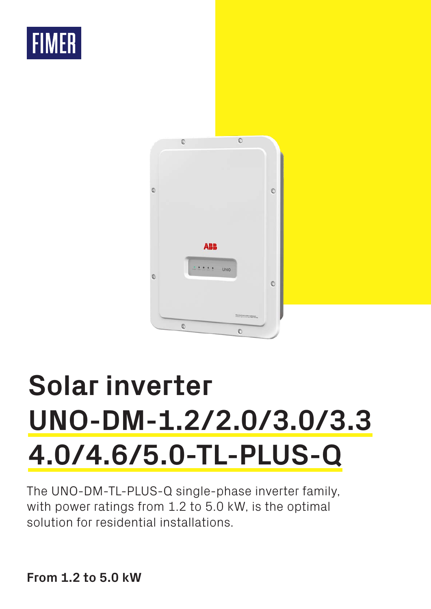



# **Solar inverter UNO-DM-1.2/2.0/3.0/3.3 4.0/4.6/5.0-TL-PLUS-Q**

The UNO-DM-TL-PLUS-Q single-phase inverter family, with power ratings from 1.2 to 5.0 kW, is the optimal solution for residential installations.

**From 1.2 to 5.0 kW**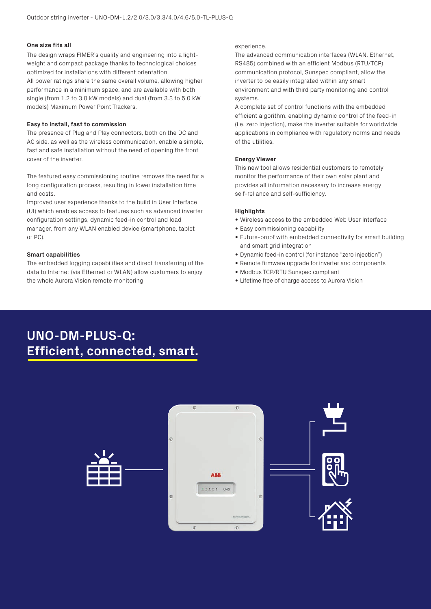#### **One size fits all**

The design wraps FIMER's quality and engineering into a lightweight and compact package thanks to technological choices optimized for installations with different orientation. All power ratings share the same overall volume, allowing higher performance in a minimum space, and are available with both single (from 1.2 to 3.0 kW models) and dual (from 3.3 to 5.0 kW models) Maximum Power Point Trackers.

#### **Easy to install, fast to commission**

The presence of Plug and Play connectors, both on the DC and AC side, as well as the wireless communication, enable a simple, fast and safe installation without the need of opening the front cover of the inverter.

The featured easy commissioning routine removes the need for a long configuration process, resulting in lower installation time and costs.

Improved user experience thanks to the build in User Interface (UI) which enables access to features such as advanced inverter configuration settings, dynamic feed-in control and load manager, from any WLAN enabled device (smartphone, tablet or PC).

#### **Smart capabilities**

The embedded logging capabilities and direct transferring of the data to Internet (via Ethernet or WLAN) allow customers to enjoy the whole Aurora Vision remote monitoring

#### experience.

The advanced communication interfaces (WLAN, Ethernet, RS485) combined with an efficient Modbus (RTU/TCP) communication protocol, Sunspec compliant, allow the inverter to be easily integrated within any smart environment and with third party monitoring and control systems.

A complete set of control functions with the embedded efficient algorithm, enabling dynamic control of the feed-in (i.e. zero injection), make the inverter suitable for worldwide applications in compliance with regulatory norms and needs of the utilities.

#### **Energy Viewer**

This new tool allows residential customers to remotely monitor the performance of their own solar plant and provides all information necessary to increase energy self-reliance and self-sufficiency.

#### **Highlights**

- Wireless access to the embedded Web User Interface
- Easy commissioning capability
- Future-proof with embedded connectivity for smart building and smart grid integration
- Dynamic feed-in control (for instance "zero injection")
- Remote firmware upgrade for inverter and components
- Modbus TCP/RTU Sunspec compliant
- Lifetime free of charge access to Aurora Vision

## **UNO-DM-PLUS-Q: Efficient, connected, smart.**

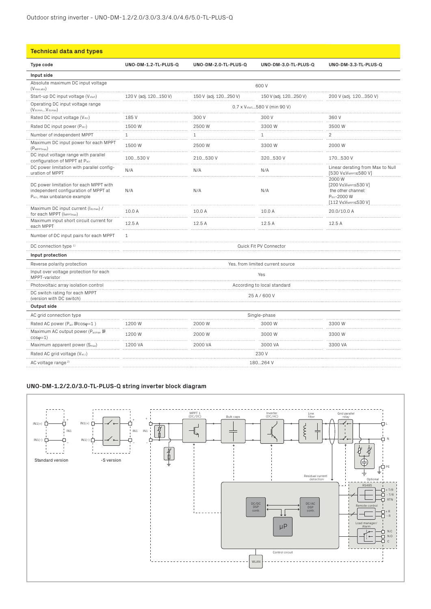| <b>Technical data and types</b>                                                                               |                                           |                       |                       |                                                                                                                     |
|---------------------------------------------------------------------------------------------------------------|-------------------------------------------|-----------------------|-----------------------|---------------------------------------------------------------------------------------------------------------------|
| <b>Type code</b>                                                                                              | UNO-DM-1.2-TL-PLUS-Q                      | UNO-DM-2.0-TL-PLUS-Q  | UNO-DM-3.0-TL-PLUS-Q  | UNO-DM-3.3-TL-PLUS-Q                                                                                                |
| Input side                                                                                                    |                                           |                       |                       |                                                                                                                     |
| Absolute maximum DC input voltage<br>$(V_{\text{max,abs}})$                                                   |                                           |                       | 600 V                 |                                                                                                                     |
| Start-up DC input voltage (V <sub>start</sub> )                                                               | 120 V (adj. 120150 V)                     | 150 V (adj. 120250 V) | 150 V (adj. 120250 V) | 200 V (adj. 120350 V)                                                                                               |
| Operating DC input voltage range<br>$(VdcminVdcmax)$                                                          | 0.7 x V <sub>start</sub> 580 V (min 90 V) |                       |                       |                                                                                                                     |
| Rated DC input voltage (Vdcr)                                                                                 | 185 V                                     | 300V                  | 300V                  | 360 V                                                                                                               |
| Rated DC input power (Pdcr)                                                                                   | 1500 W                                    | 2500 W                | 3300 W                | 3500 W                                                                                                              |
| Number of independent MPPT                                                                                    | $\mathbf{1}$                              | $1\,$                 | 1                     | $\overline{c}$                                                                                                      |
| Maximum DC input power for each MPPT<br>$(P_{MPPTmax})$                                                       | 1500 W                                    | 2500 W                | 3300 W                | 2000 W                                                                                                              |
| DC input voltage range with parallel<br>configuration of MPPT at Pacr                                         | 100530 V                                  | 210530 V              | 320530 V              | 170530 V                                                                                                            |
| DC power limitation with parallel config-<br>uration of MPPT                                                  | N/A                                       | N/A                   | N/A                   | Linear derating from Max to Null<br>[530 V≤VMPPT≤580 V]                                                             |
| DC power limitation for each MPPT with<br>independent configuration of MPPT at<br>Pacr, max unbalance example | N/A                                       | N/A                   | N/A                   | 2000 W<br>[200 V≤V <sub>MPPT</sub> ≤530 V]<br>the other channel:<br>Pdcr-2000 W<br>[112 V≤V <sub>MPPT</sub> ≤530 V] |
| Maximum DC input current (Idcmax) /<br>for each MPPT (IMPPTmax)                                               | 10.0 A                                    | 10.0 A                | 10.0 A<br>.           | 20.0/10.0 A                                                                                                         |
| Maximum input short circuit current for<br>each MPPT                                                          | 12.5 A<br>.                               | 12.5 A                | 12.5 A                | 12.5A                                                                                                               |
| Number of DC input pairs for each MPPT                                                                        | 1                                         |                       |                       |                                                                                                                     |
| DC connection type <sup>1)</sup>                                                                              | Quick Fit PV Connector                    |                       |                       |                                                                                                                     |
| Input protection                                                                                              |                                           |                       |                       |                                                                                                                     |
| Reverse polarity protection                                                                                   | Yes, from limited current source          |                       |                       |                                                                                                                     |
| Input over voltage protection for each<br>MPPT-varistor                                                       | Yes                                       |                       |                       |                                                                                                                     |
| Photovoltaic array isolation control                                                                          | According to local standard               |                       |                       |                                                                                                                     |
| DC switch rating for each MPPT<br>(version with DC switch)                                                    | 25 A / 600 V                              |                       |                       |                                                                                                                     |
| Output side                                                                                                   |                                           |                       |                       |                                                                                                                     |
| AC grid connection type                                                                                       | Single-phase                              |                       |                       |                                                                                                                     |
| Rated AC power (Pacr @coso=1)                                                                                 | 1200 W<br>.                               | 2000 W<br>.           | 3000 W<br>.           | 3300 W<br>.                                                                                                         |
| Maximum AC output power (Pacmax 回<br>$cos\varphi=1$                                                           | 1200 W                                    | 2000W                 | 3000 W                | 3300 W                                                                                                              |
| Maximum apparent power (S <sub>max</sub> )                                                                    | 1200 VA                                   | 2000 VA               | 3000 VA               | 3300 VA                                                                                                             |
| Rated AC grid voltage (Vac,r)                                                                                 | 230 V                                     |                       |                       |                                                                                                                     |
| AC voltage range <sup>2)</sup>                                                                                | 180264 V                                  |                       |                       |                                                                                                                     |

### **UNO-DM-1.2/2.0/3.0-TL-PLUS-Q string inverter block diagram**

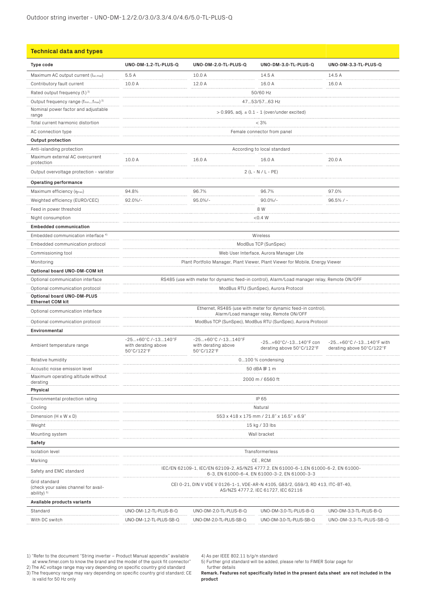| <b>Technical data and types</b>                                       |                                                                                                                                      |                                                         |                                                                                             |                                                      |  |
|-----------------------------------------------------------------------|--------------------------------------------------------------------------------------------------------------------------------------|---------------------------------------------------------|---------------------------------------------------------------------------------------------|------------------------------------------------------|--|
| Type code                                                             | UNO-DM-1.2-TL-PLUS-Q                                                                                                                 | UNO-DM-2.0-TL-PLUS-Q                                    | UNO-DM-3.0-TL-PLUS-Q                                                                        | UNO-DM-3.3-TL-PLUS-Q                                 |  |
| Maximum AC output current (Iac,max)                                   | 5.5A                                                                                                                                 | 10.0 A                                                  | 14.5 A                                                                                      | 14.5 A                                               |  |
| Contributory fault current                                            | 10.0 A                                                                                                                               | 12.0 A                                                  | 16.0 A                                                                                      | 16.0 A                                               |  |
| Rated output frequency (f <sub>r</sub> ) 3)                           |                                                                                                                                      |                                                         | 50/60 Hz                                                                                    |                                                      |  |
| Output frequency range (fminfmax) 3)                                  |                                                                                                                                      |                                                         | 4753/5763 Hz                                                                                |                                                      |  |
| Nominal power factor and adjustable<br>range                          |                                                                                                                                      |                                                         | $> 0.995$ , adj. $\pm 0.1 - 1$ (over/under excited)                                         |                                                      |  |
| Total current harmonic distortion                                     |                                                                                                                                      |                                                         | < 3%                                                                                        |                                                      |  |
| AC connection type                                                    |                                                                                                                                      |                                                         | Female connector from panel                                                                 |                                                      |  |
| Output protection                                                     |                                                                                                                                      |                                                         |                                                                                             |                                                      |  |
| Anti-islanding protection                                             | According to local standard                                                                                                          |                                                         |                                                                                             |                                                      |  |
| Maximum external AC overcurrent<br>protection                         | 10.0 A<br>16.0 A<br>16.0 A<br>20.0 A<br>.                                                                                            |                                                         |                                                                                             |                                                      |  |
| Output overvoltage protection - varistor                              |                                                                                                                                      | $2(L - N / L - PE)$                                     |                                                                                             |                                                      |  |
| Operating performance                                                 |                                                                                                                                      |                                                         |                                                                                             |                                                      |  |
| Maximum efficiency (nmax)                                             | 94.8%                                                                                                                                | 96.7%                                                   | 96.7%                                                                                       | 97.0%                                                |  |
| Weighted efficiency (EURO/CEC)                                        | $92.0\%/-$                                                                                                                           | $95.0\%$ /-                                             | $90.0\%$ /-                                                                                 | $96.5% / -$                                          |  |
| Feed in power threshold                                               |                                                                                                                                      |                                                         | 8 W                                                                                         |                                                      |  |
| Night consumption                                                     |                                                                                                                                      |                                                         | < 0.4 W                                                                                     |                                                      |  |
| <b>Embedded communication</b>                                         |                                                                                                                                      |                                                         |                                                                                             |                                                      |  |
| Embedded communication interface 4)                                   |                                                                                                                                      |                                                         | Wireless                                                                                    |                                                      |  |
| Embedded communication protocol                                       |                                                                                                                                      |                                                         | ModBus TCP (SunSpec)                                                                        |                                                      |  |
| Commissioning tool                                                    |                                                                                                                                      |                                                         | Web User Interface, Aurora Manager Lite                                                     |                                                      |  |
| Monitoring                                                            |                                                                                                                                      |                                                         | Plant Portfolio Manager, Plant Viewer, Plant Viewer for Mobile, Energy Viewer               |                                                      |  |
| Optional board UNO-DM-COM kit                                         |                                                                                                                                      |                                                         |                                                                                             |                                                      |  |
| Optional communication interface                                      |                                                                                                                                      |                                                         | RS485 (use with meter for dynamic feed-in control), Alarm/Load manager relay, Remote ON/OFF |                                                      |  |
| Optional communication protocol                                       | ModBus RTU (SunSpec), Aurora Protocol                                                                                                |                                                         |                                                                                             |                                                      |  |
| Optional board UNO-DM-PLUS                                            |                                                                                                                                      |                                                         |                                                                                             |                                                      |  |
| <b>Ethernet COM kit</b>                                               |                                                                                                                                      |                                                         |                                                                                             |                                                      |  |
| Optional communication interface                                      | Ethernet, RS485 (use with meter for dynamic feed-in control),<br>Alarm/Load manager relay, Remote ON/OFF                             |                                                         |                                                                                             |                                                      |  |
| Optional communication protocol                                       |                                                                                                                                      |                                                         | ModBus TCP (SunSpec), ModBus RTU (SunSpec), Aurora Protocol                                 |                                                      |  |
| Environmental                                                         |                                                                                                                                      |                                                         |                                                                                             |                                                      |  |
| Ambient temperature range                                             | -25+60°C /-13140°F<br>with derating above<br>50°C/122°F                                                                              | -25+60°C /-13140°F<br>with derating above<br>50°C/122°F | -25+60°C/-13140°F con<br>derating above 50°C/122°F                                          | -25+60°C /-13140°F with<br>derating above 50°C/122°F |  |
| Relative humidity                                                     |                                                                                                                                      |                                                         | 0100 % condensing                                                                           |                                                      |  |
| Acoustic noise emission level                                         |                                                                                                                                      |                                                         | 50 dBA 回 1 m                                                                                |                                                      |  |
| Maximum operating altitude without<br>derating                        | 2000 m / 6560 ft                                                                                                                     |                                                         |                                                                                             |                                                      |  |
| Physical                                                              |                                                                                                                                      |                                                         |                                                                                             |                                                      |  |
| Environmental protection rating                                       | IP 65                                                                                                                                |                                                         |                                                                                             |                                                      |  |
| Cooling                                                               | Natural                                                                                                                              |                                                         |                                                                                             |                                                      |  |
| Dimension (H x W x D)                                                 | 553 x 418 x 175 mm / 21.8" x 16.5" x 6.9                                                                                             |                                                         |                                                                                             |                                                      |  |
| Weight                                                                | 15 kg / 33 lbs                                                                                                                       |                                                         |                                                                                             |                                                      |  |
| Mounting system                                                       | Wall bracket                                                                                                                         |                                                         |                                                                                             |                                                      |  |
| Safety                                                                |                                                                                                                                      |                                                         |                                                                                             |                                                      |  |
| <b>Isolation level</b>                                                |                                                                                                                                      |                                                         | Transformerless                                                                             |                                                      |  |
| Marking                                                               | CE, RCM                                                                                                                              |                                                         |                                                                                             |                                                      |  |
| Safety and EMC standard                                               | IEC/EN 62109-1, IEC/EN 62109-2, AS/NZS 4777.2, EN 61000-6-1,EN 61000-6-2, EN 61000-<br>6-3, EN 61000-6-4, EN 61000-3-2, EN 61000-3-3 |                                                         |                                                                                             |                                                      |  |
| Grid standard<br>(check your sales channel for avail-<br>ability) $5$ | CEI 0-21, DIN V VDE V 0126-1-1, VDE-AR-N 4105, G83/2, G59/3, RD 413, ITC-BT-40,<br>AS/NZS 4777.2, IEC 61727, IEC 62116               |                                                         |                                                                                             |                                                      |  |
| Available products variants                                           |                                                                                                                                      |                                                         |                                                                                             |                                                      |  |
| Standard                                                              | UNO-DM-1.2-TL-PLUS-B-Q                                                                                                               | UNO-DM-2.0-TL-PLUS-B-Q                                  | UNO-DM-3.0-TL-PLUS-B-Q                                                                      | UNO-DM-3.3-TL-PLUS-B-Q                               |  |
| With DC switch                                                        | UNO-DM-1.2-TL-PLUS-SB-Q                                                                                                              | UNO-DM-2.0-TL-PLUS-SB-Q                                 | UNO-DM-3.0-TL-PLUS-SB-Q                                                                     | UNO-DM-3.3-TL-PLUS-SB-Q                              |  |

1) "Refer to the document "String inverter – Product Manual appendix" available at www.fimer.com to know the brand and the model of the quick fit connector" 2) The AC voltage range may vary depending on specific country grid standard

3) The frequency range may vary depending on specific country grid standard; CE is valid for 50 Hz only

4) As per IEEE 802.11 b/g/n standard

5) Further grid standard will be added, please refer to FIMER Solar page for further details

**Remark. Features not specifically listed in the present data sheet are not included in the product**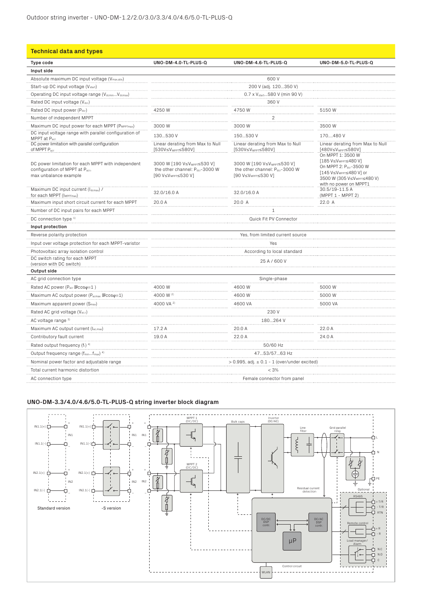| <b>Technical data and types</b>                                                                               |                                                                                                              |                                                                                                              |                                                                                                                                              |  |
|---------------------------------------------------------------------------------------------------------------|--------------------------------------------------------------------------------------------------------------|--------------------------------------------------------------------------------------------------------------|----------------------------------------------------------------------------------------------------------------------------------------------|--|
| Type code                                                                                                     | UNO-DM-4.0-TL-PLUS-Q                                                                                         | UNO-DM-4.6-TL-PLUS-Q                                                                                         | UNO-DM-5.0-TL-PLUS-Q                                                                                                                         |  |
| Input side                                                                                                    |                                                                                                              |                                                                                                              |                                                                                                                                              |  |
| Absolute maximum DC input voltage (Vmax,abs)                                                                  |                                                                                                              | 600 V                                                                                                        |                                                                                                                                              |  |
| Start-up DC input voltage (V <sub>start</sub> )                                                               | 200 V (adj. 120350 V)                                                                                        |                                                                                                              |                                                                                                                                              |  |
| Operating DC input voltage range (VdcminVdcmax)                                                               | 0.7 x V <sub>start</sub> 580 V (min 90 V)                                                                    |                                                                                                              |                                                                                                                                              |  |
| Rated DC input voltage (Vdcr)                                                                                 |                                                                                                              | 360 V                                                                                                        |                                                                                                                                              |  |
| Rated DC input power (Pdcr)                                                                                   | 4250 W                                                                                                       | 4750W                                                                                                        | 5150W                                                                                                                                        |  |
| Number of independent MPPT                                                                                    |                                                                                                              | $\overline{2}$                                                                                               |                                                                                                                                              |  |
| Maximum DC input power for each MPPT (PMPPTmax)                                                               | 3000 W                                                                                                       | 3000W                                                                                                        | 3500W                                                                                                                                        |  |
| DC input voltage range with parallel configuration of<br>MPPT at Pacr                                         | 130530 V                                                                                                     | 150530 V                                                                                                     | 170480V                                                                                                                                      |  |
| of MPPT P <sub>acr</sub>                                                                                      | Linear derating from Max to Null<br>[530V≤V <sub>MPPT</sub> ≤580V]                                           | Linear derating from Max to Null<br>[530V≤V <sub>MPPT</sub> ≤580V]                                           | Linear derating from Max to Null<br>[480V≤V <sub>MPPT</sub> ≤580V]<br>On MPPT 1: 3500 W                                                      |  |
| DC power limitation for each MPPT with independent<br>configuration of MPPT at Pacr,<br>max unbalance example | 3000 W [190 V≤V <sub>MPPT</sub> ≤530 V]<br>the other channel: Pdcr-3000 W<br>[90 V≤V <sub>MPPT</sub> ≤530 V] | 3000 W [190 V≤V <sub>MPPT</sub> ≤530 V]<br>the other channel: Pdcr-3000 W<br>[90 V≤V <sub>MPPT</sub> ≤530 V] | [185 V≤VMPPT≤480 V]<br>On MPPT 2: Pdcr-3500 W<br>[145 V≤V <sub>MPPT</sub> ≤480 V] or<br>3500 W (305 V≤VMPPT≤480 V)<br>with no power on MPPT1 |  |
| Maximum DC input current (Idemax) /<br>for each MPPT (IMPPTmax)                                               | 32.0/16.0 A                                                                                                  | 32.0/16.0 A                                                                                                  | 30.5/19-11.5 A<br>(MPPT 1 - MPPT 2)                                                                                                          |  |
| Maximum input short circuit current for each MPPT                                                             | 20.0 A                                                                                                       | 20.0 A                                                                                                       | 22.0 A                                                                                                                                       |  |
| Number of DC input pairs for each MPPT                                                                        | 1                                                                                                            |                                                                                                              |                                                                                                                                              |  |
| DC connection type 1)                                                                                         | Quick Fit PV Connector                                                                                       |                                                                                                              |                                                                                                                                              |  |
| Input protection                                                                                              |                                                                                                              |                                                                                                              |                                                                                                                                              |  |
| Reverse polarity protection                                                                                   |                                                                                                              | Yes, from limited current source                                                                             |                                                                                                                                              |  |
| Input over voltage protection for each MPPT-varistor                                                          |                                                                                                              | Yes                                                                                                          |                                                                                                                                              |  |
| Photovoltaic array isolation control                                                                          |                                                                                                              | According to local standard                                                                                  |                                                                                                                                              |  |
| DC switch rating for each MPPT<br>(version with DC switch)                                                    | 25 A / 600 V                                                                                                 |                                                                                                              |                                                                                                                                              |  |
| Output side                                                                                                   |                                                                                                              |                                                                                                              |                                                                                                                                              |  |
| AC grid connection type                                                                                       |                                                                                                              | Single-phase                                                                                                 |                                                                                                                                              |  |
| Rated AC power (Pacr @cosq=1)                                                                                 | 4000W                                                                                                        | 4600W                                                                                                        | 5000W                                                                                                                                        |  |
| Maximum AC output power (Pacmax 回cosq=1)                                                                      | 4000 W <sup>2)</sup>                                                                                         | 4600W                                                                                                        | 5000W                                                                                                                                        |  |
| Maximum apparent power (S <sub>max</sub> )                                                                    | 4000 VA <sup>2)</sup>                                                                                        | 4600 VA                                                                                                      | 5000 VA                                                                                                                                      |  |
| Rated AC grid voltage (Vac.r)                                                                                 |                                                                                                              | 230 V                                                                                                        |                                                                                                                                              |  |
| AC voltage range <sup>3)</sup>                                                                                | 180264 V                                                                                                     |                                                                                                              |                                                                                                                                              |  |
| Maximum AC output current (Iac.max)                                                                           | 17.2 A                                                                                                       | 20.0 A                                                                                                       | 22.0 A                                                                                                                                       |  |
| Contributory fault current                                                                                    | 19.0 A                                                                                                       | 22.0 A                                                                                                       | 24.0 A                                                                                                                                       |  |
| Rated output frequency (f <sub>r</sub> ) 4)                                                                   | 50/60 Hz                                                                                                     |                                                                                                              |                                                                                                                                              |  |
| Output frequency range (fminfmax) 4)                                                                          | 4753/5763 Hz                                                                                                 |                                                                                                              |                                                                                                                                              |  |
| Nominal power factor and adjustable range                                                                     | $> 0.995$ , adj. $\pm 0.1 - 1$ (over/under excited)                                                          |                                                                                                              |                                                                                                                                              |  |
| Total current harmonic distortion                                                                             | < 3%                                                                                                         |                                                                                                              |                                                                                                                                              |  |
| AC connection type                                                                                            |                                                                                                              |                                                                                                              |                                                                                                                                              |  |
|                                                                                                               | Female connector from panel                                                                                  |                                                                                                              |                                                                                                                                              |  |

#### **UNO-DM-3.3/4.0/4.6/5.0-TL-PLUS-Q string inverter block diagram**